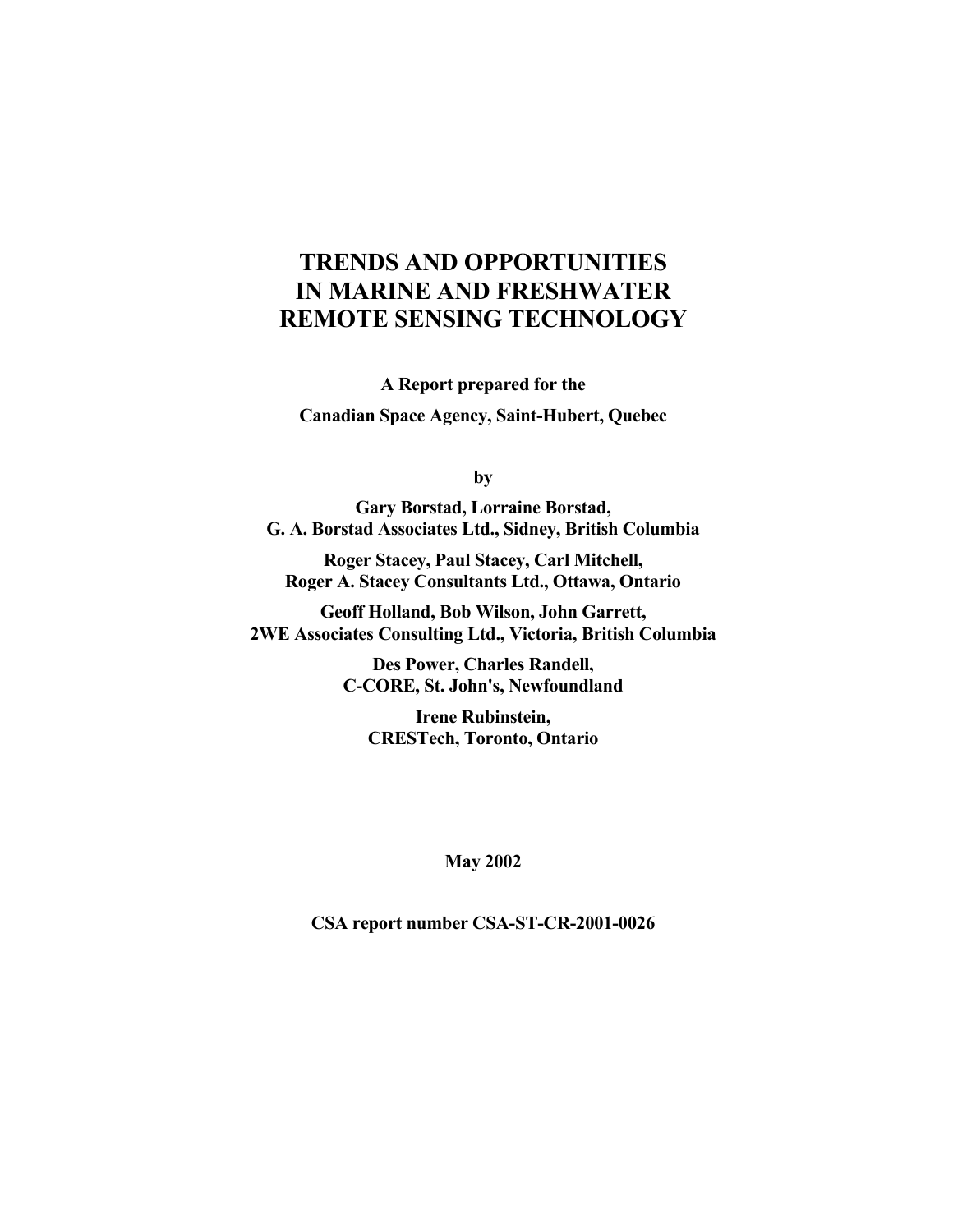### **TRENDS AND OPPORTUNITIES IN MARINE AND FRESHWATER REMOTE SENSING TECHNOLOGY**

**A Report prepared for the Canadian Space Agency, Saint-Hubert, Quebec** 

**by** 

**Gary Borstad, Lorraine Borstad, G. A. Borstad Associates Ltd., Sidney, British Columbia** 

**Roger Stacey, Paul Stacey, Carl Mitchell, Roger A. Stacey Consultants Ltd., Ottawa, Ontario** 

**Geoff Holland, Bob Wilson, John Garrett, 2WE Associates Consulting Ltd., Victoria, British Columbia** 

> **Des Power, Charles Randell, C-CORE, St. John's, Newfoundland**

**Irene Rubinstein, CRESTech, Toronto, Ontario** 

#### **May 2002**

**CSA report number CSA-ST-CR-2001-0026**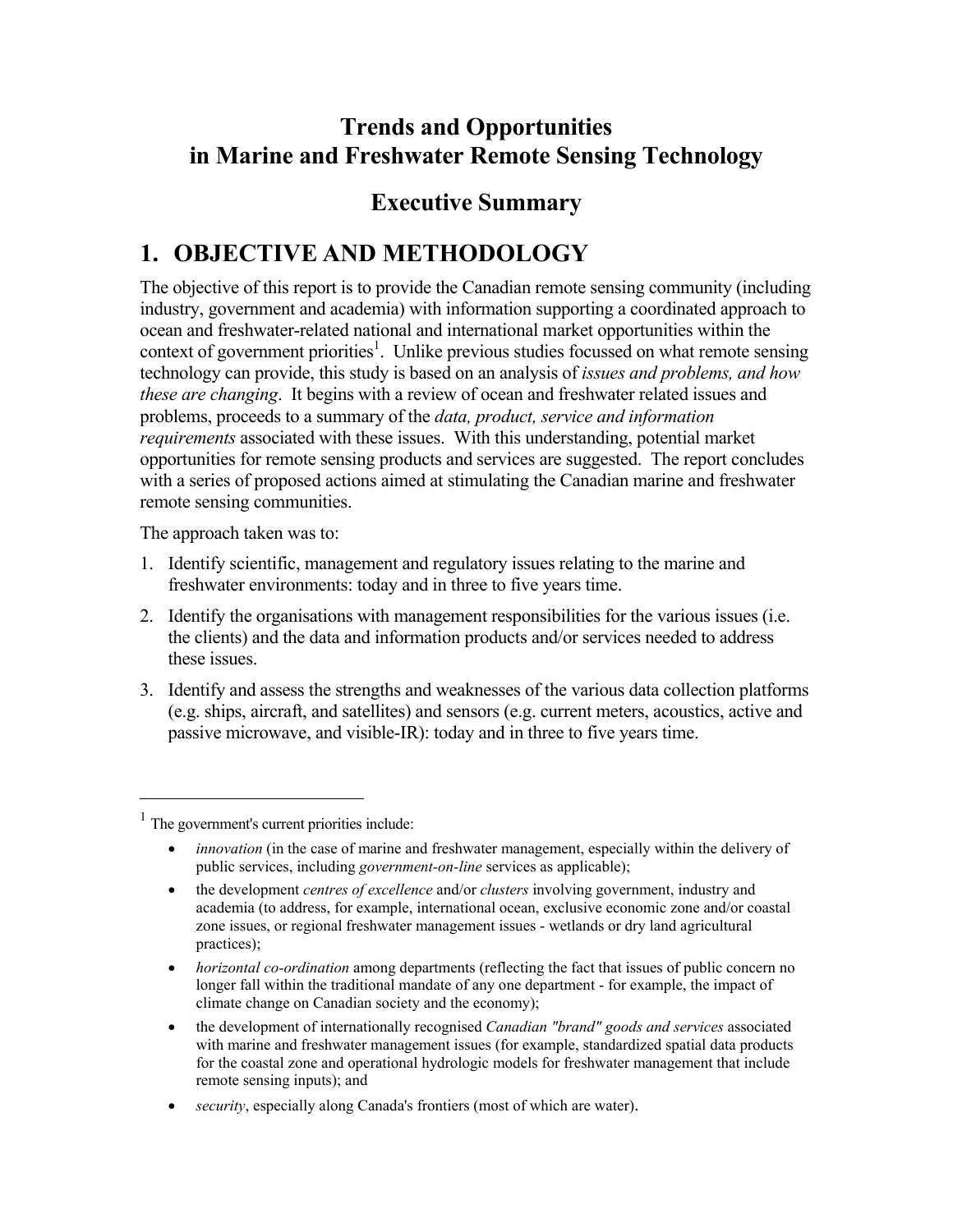### **Trends and Opportunities in Marine and Freshwater Remote Sensing Technology**

## **Executive Summary**

## **1. OBJECTIVE AND METHODOLOGY**

The objective of this report is to provide the Canadian remote sensing community (including industry, government and academia) with information supporting a coordinated approach to ocean and freshwater-related national and international market opportunities within the context of government priorities<sup>1</sup>. Unlike previous studies focussed on what remote sensing technology can provide, this study is based on an analysis of *issues and problems, and how these are changing*. It begins with a review of ocean and freshwater related issues and problems, proceeds to a summary of the *data, product, service and information requirements* associated with these issues. With this understanding, potential market opportunities for remote sensing products and services are suggested. The report concludes with a series of proposed actions aimed at stimulating the Canadian marine and freshwater remote sensing communities.

The approach taken was to:

- 1. Identify scientific, management and regulatory issues relating to the marine and freshwater environments: today and in three to five years time.
- 2. Identify the organisations with management responsibilities for the various issues (i.e. the clients) and the data and information products and/or services needed to address these issues.
- 3. Identify and assess the strengths and weaknesses of the various data collection platforms (e.g. ships, aircraft, and satellites) and sensors (e.g. current meters, acoustics, active and passive microwave, and visible-IR): today and in three to five years time.

 $\overline{a}$ 

- *horizontal co-ordination* among departments (reflecting the fact that issues of public concern no longer fall within the traditional mandate of any one department - for example, the impact of climate change on Canadian society and the economy);
- the development of internationally recognised *Canadian "brand" goods and services* associated with marine and freshwater management issues (for example, standardized spatial data products for the coastal zone and operational hydrologic models for freshwater management that include remote sensing inputs); and
- *security*, especially along Canada's frontiers (most of which are water).

<sup>1</sup> The government's current priorities include:

<sup>•</sup> *innovation* (in the case of marine and freshwater management, especially within the delivery of public services, including *government-on-line* services as applicable);

<sup>•</sup> the development *centres of excellence* and/or *clusters* involving government, industry and academia (to address, for example, international ocean, exclusive economic zone and/or coastal zone issues, or regional freshwater management issues - wetlands or dry land agricultural practices);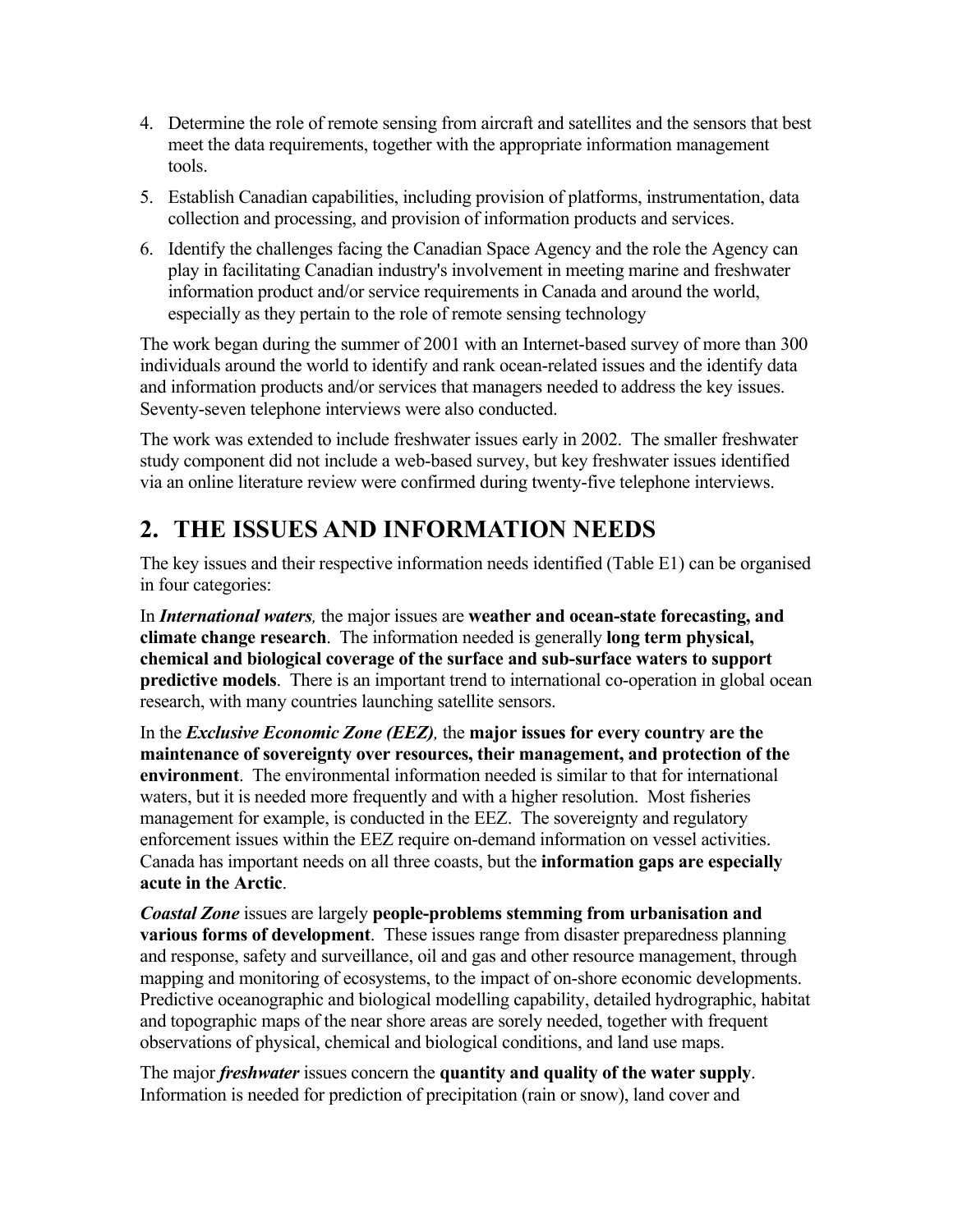- 4. Determine the role of remote sensing from aircraft and satellites and the sensors that best meet the data requirements, together with the appropriate information management tools.
- 5. Establish Canadian capabilities, including provision of platforms, instrumentation, data collection and processing, and provision of information products and services.
- 6. Identify the challenges facing the Canadian Space Agency and the role the Agency can play in facilitating Canadian industry's involvement in meeting marine and freshwater information product and/or service requirements in Canada and around the world, especially as they pertain to the role of remote sensing technology

The work began during the summer of 2001 with an Internet-based survey of more than 300 individuals around the world to identify and rank ocean-related issues and the identify data and information products and/or services that managers needed to address the key issues. Seventy-seven telephone interviews were also conducted.

The work was extended to include freshwater issues early in 2002. The smaller freshwater study component did not include a web-based survey, but key freshwater issues identified via an online literature review were confirmed during twenty-five telephone interviews.

## **2. THE ISSUES AND INFORMATION NEEDS**

The key issues and their respective information needs identified (Table E1) can be organised in four categories:

In *International waters,* the major issues are **weather and ocean-state forecasting, and climate change research**. The information needed is generally **long term physical, chemical and biological coverage of the surface and sub-surface waters to support predictive models**. There is an important trend to international co-operation in global ocean research, with many countries launching satellite sensors.

In the *Exclusive Economic Zone (EEZ),* the **major issues for every country are the maintenance of sovereignty over resources, their management, and protection of the environment**. The environmental information needed is similar to that for international waters, but it is needed more frequently and with a higher resolution. Most fisheries management for example, is conducted in the EEZ. The sovereignty and regulatory enforcement issues within the EEZ require on-demand information on vessel activities. Canada has important needs on all three coasts, but the **information gaps are especially acute in the Arctic**.

*Coastal Zone* issues are largely **people-problems stemming from urbanisation and various forms of development**. These issues range from disaster preparedness planning and response, safety and surveillance, oil and gas and other resource management, through mapping and monitoring of ecosystems, to the impact of on-shore economic developments. Predictive oceanographic and biological modelling capability, detailed hydrographic, habitat and topographic maps of the near shore areas are sorely needed, together with frequent observations of physical, chemical and biological conditions, and land use maps.

The major *freshwater* issues concern the **quantity and quality of the water supply**. Information is needed for prediction of precipitation (rain or snow), land cover and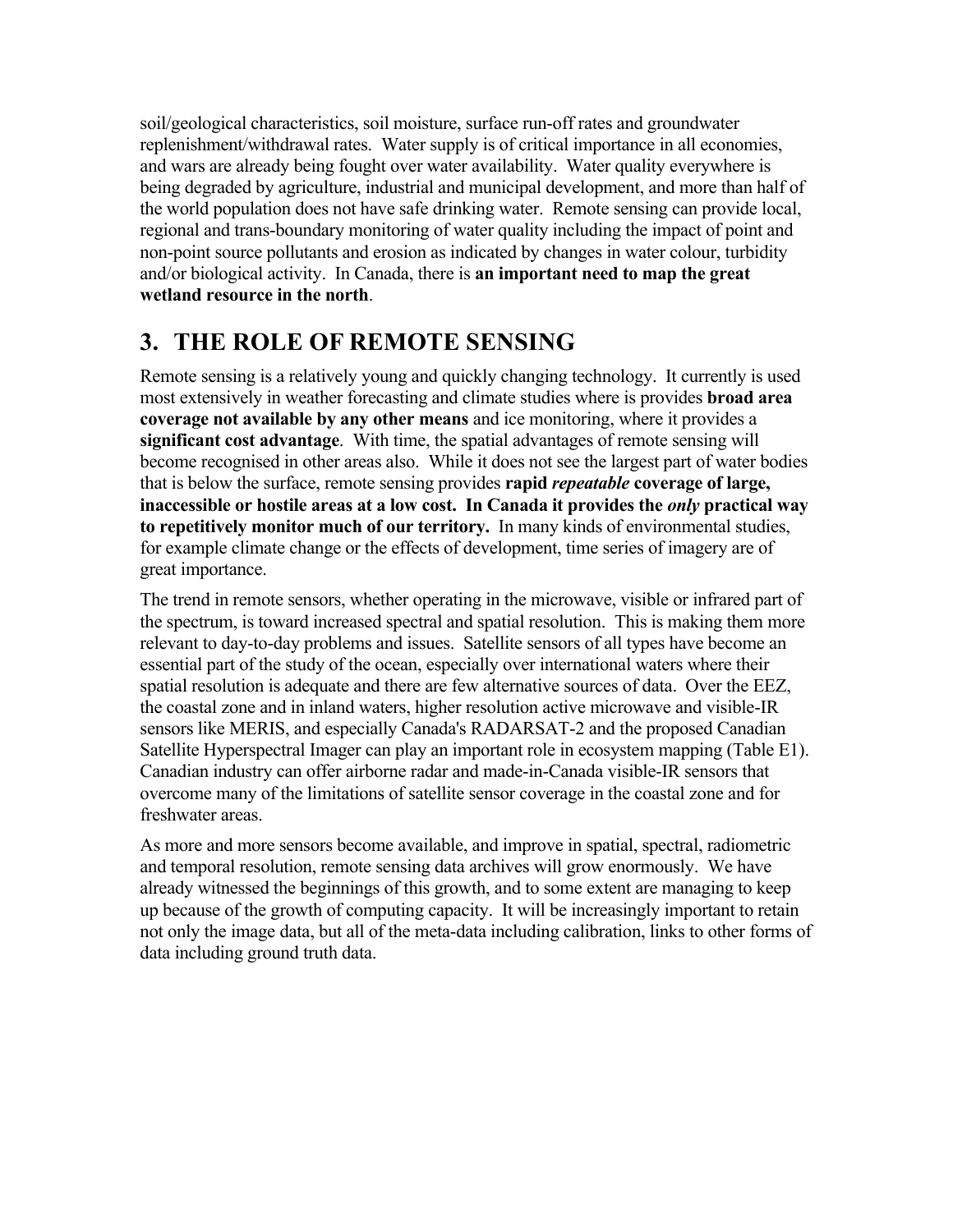soil/geological characteristics, soil moisture, surface run-off rates and groundwater replenishment/withdrawal rates. Water supply is of critical importance in all economies, and wars are already being fought over water availability. Water quality everywhere is being degraded by agriculture, industrial and municipal development, and more than half of the world population does not have safe drinking water. Remote sensing can provide local, regional and trans-boundary monitoring of water quality including the impact of point and non-point source pollutants and erosion as indicated by changes in water colour, turbidity and/or biological activity. In Canada, there is **an important need to map the great wetland resource in the north**.

## **3. THE ROLE OF REMOTE SENSING**

Remote sensing is a relatively young and quickly changing technology. It currently is used most extensively in weather forecasting and climate studies where is provides **broad area coverage not available by any other means** and ice monitoring, where it provides a **significant cost advantage**. With time, the spatial advantages of remote sensing will become recognised in other areas also. While it does not see the largest part of water bodies that is below the surface, remote sensing provides **rapid** *repeatable* **coverage of large, inaccessible or hostile areas at a low cost. In Canada it provides the** *only* **practical way to repetitively monitor much of our territory.** In many kinds of environmental studies, for example climate change or the effects of development, time series of imagery are of great importance.

The trend in remote sensors, whether operating in the microwave, visible or infrared part of the spectrum, is toward increased spectral and spatial resolution. This is making them more relevant to day-to-day problems and issues. Satellite sensors of all types have become an essential part of the study of the ocean, especially over international waters where their spatial resolution is adequate and there are few alternative sources of data. Over the EEZ, the coastal zone and in inland waters, higher resolution active microwave and visible-IR sensors like MERIS, and especially Canada's RADARSAT-2 and the proposed Canadian Satellite Hyperspectral Imager can play an important role in ecosystem mapping (Table E1). Canadian industry can offer airborne radar and made-in-Canada visible-IR sensors that overcome many of the limitations of satellite sensor coverage in the coastal zone and for freshwater areas.

As more and more sensors become available, and improve in spatial, spectral, radiometric and temporal resolution, remote sensing data archives will grow enormously. We have already witnessed the beginnings of this growth, and to some extent are managing to keep up because of the growth of computing capacity. It will be increasingly important to retain not only the image data, but all of the meta-data including calibration, links to other forms of data including ground truth data.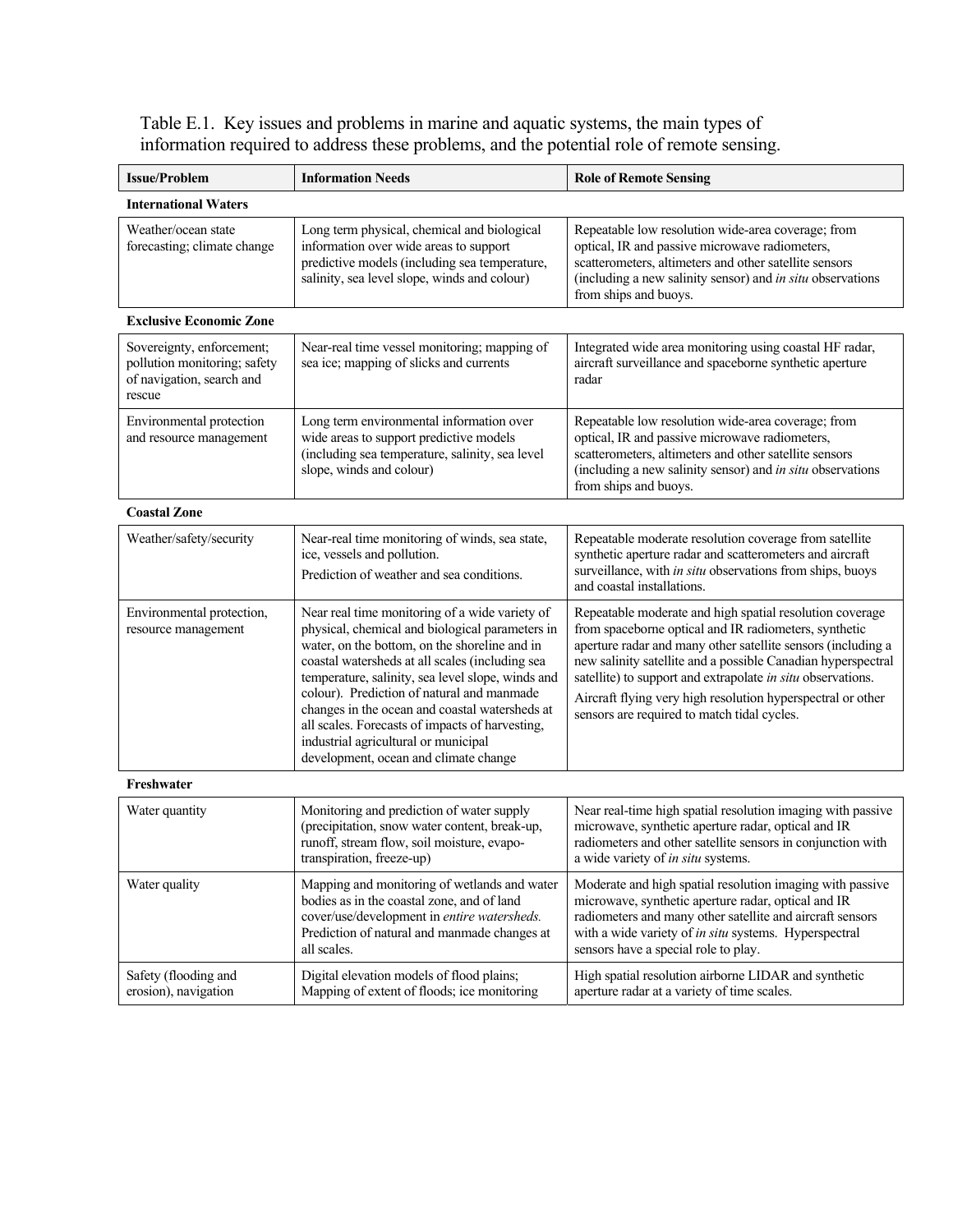Table E.1. Key issues and problems in marine and aquatic systems, the main types of information required to address these problems, and the potential role of remote sensing.

| <b>Issue/Problem</b>                                                                             | <b>Information Needs</b>                                                                                                                                                                                                                                                                                                                                                                                                                                                                       | <b>Role of Remote Sensing</b>                                                                                                                                                                                                                                                                                                                                                                                                  |
|--------------------------------------------------------------------------------------------------|------------------------------------------------------------------------------------------------------------------------------------------------------------------------------------------------------------------------------------------------------------------------------------------------------------------------------------------------------------------------------------------------------------------------------------------------------------------------------------------------|--------------------------------------------------------------------------------------------------------------------------------------------------------------------------------------------------------------------------------------------------------------------------------------------------------------------------------------------------------------------------------------------------------------------------------|
| <b>International Waters</b>                                                                      |                                                                                                                                                                                                                                                                                                                                                                                                                                                                                                |                                                                                                                                                                                                                                                                                                                                                                                                                                |
| Weather/ocean state<br>forecasting; climate change                                               | Long term physical, chemical and biological<br>information over wide areas to support<br>predictive models (including sea temperature,<br>salinity, sea level slope, winds and colour)                                                                                                                                                                                                                                                                                                         | Repeatable low resolution wide-area coverage; from<br>optical, IR and passive microwave radiometers,<br>scatterometers, altimeters and other satellite sensors<br>(including a new salinity sensor) and in situ observations<br>from ships and buoys.                                                                                                                                                                          |
| <b>Exclusive Economic Zone</b>                                                                   |                                                                                                                                                                                                                                                                                                                                                                                                                                                                                                |                                                                                                                                                                                                                                                                                                                                                                                                                                |
| Sovereignty, enforcement;<br>pollution monitoring; safety<br>of navigation, search and<br>rescue | Near-real time vessel monitoring; mapping of<br>sea ice; mapping of slicks and currents                                                                                                                                                                                                                                                                                                                                                                                                        | Integrated wide area monitoring using coastal HF radar,<br>aircraft surveillance and spaceborne synthetic aperture<br>radar                                                                                                                                                                                                                                                                                                    |
| Environmental protection<br>and resource management                                              | Long term environmental information over<br>wide areas to support predictive models<br>(including sea temperature, salinity, sea level<br>slope, winds and colour)                                                                                                                                                                                                                                                                                                                             | Repeatable low resolution wide-area coverage; from<br>optical, IR and passive microwave radiometers,<br>scatterometers, altimeters and other satellite sensors<br>(including a new salinity sensor) and in situ observations<br>from ships and buoys.                                                                                                                                                                          |
| <b>Coastal Zone</b>                                                                              |                                                                                                                                                                                                                                                                                                                                                                                                                                                                                                |                                                                                                                                                                                                                                                                                                                                                                                                                                |
| Weather/safety/security                                                                          | Near-real time monitoring of winds, sea state,<br>ice, vessels and pollution.<br>Prediction of weather and sea conditions.                                                                                                                                                                                                                                                                                                                                                                     | Repeatable moderate resolution coverage from satellite<br>synthetic aperture radar and scatterometers and aircraft<br>surveillance, with in situ observations from ships, buoys<br>and coastal installations.                                                                                                                                                                                                                  |
| Environmental protection,<br>resource management                                                 | Near real time monitoring of a wide variety of<br>physical, chemical and biological parameters in<br>water, on the bottom, on the shoreline and in<br>coastal watersheds at all scales (including sea<br>temperature, salinity, sea level slope, winds and<br>colour). Prediction of natural and manmade<br>changes in the ocean and coastal watersheds at<br>all scales. Forecasts of impacts of harvesting,<br>industrial agricultural or municipal<br>development, ocean and climate change | Repeatable moderate and high spatial resolution coverage<br>from spaceborne optical and IR radiometers, synthetic<br>aperture radar and many other satellite sensors (including a<br>new salinity satellite and a possible Canadian hyperspectral<br>satellite) to support and extrapolate in situ observations.<br>Aircraft flying very high resolution hyperspectral or other<br>sensors are required to match tidal cycles. |
| Freshwater                                                                                       |                                                                                                                                                                                                                                                                                                                                                                                                                                                                                                |                                                                                                                                                                                                                                                                                                                                                                                                                                |
| Water quantity                                                                                   | Monitoring and prediction of water supply<br>(precipitation, snow water content, break-up,<br>runoff, stream flow, soil moisture, evapo-<br>transpiration, freeze-up)                                                                                                                                                                                                                                                                                                                          | Near real-time high spatial resolution imaging with passive<br>microwave, synthetic aperture radar, optical and IR<br>radiometers and other satellite sensors in conjunction with<br>a wide variety of in situ systems.                                                                                                                                                                                                        |
| Water quality                                                                                    | Mapping and monitoring of wetlands and water<br>bodies as in the coastal zone, and of land<br>cover/use/development in entire watersheds.<br>Prediction of natural and manmade changes at<br>all scales.                                                                                                                                                                                                                                                                                       | Moderate and high spatial resolution imaging with passive<br>microwave, synthetic aperture radar, optical and IR<br>radiometers and many other satellite and aircraft sensors<br>with a wide variety of in situ systems. Hyperspectral<br>sensors have a special role to play.                                                                                                                                                 |
| Safety (flooding and<br>erosion), navigation                                                     | Digital elevation models of flood plains;<br>Mapping of extent of floods; ice monitoring                                                                                                                                                                                                                                                                                                                                                                                                       | High spatial resolution airborne LIDAR and synthetic<br>aperture radar at a variety of time scales.                                                                                                                                                                                                                                                                                                                            |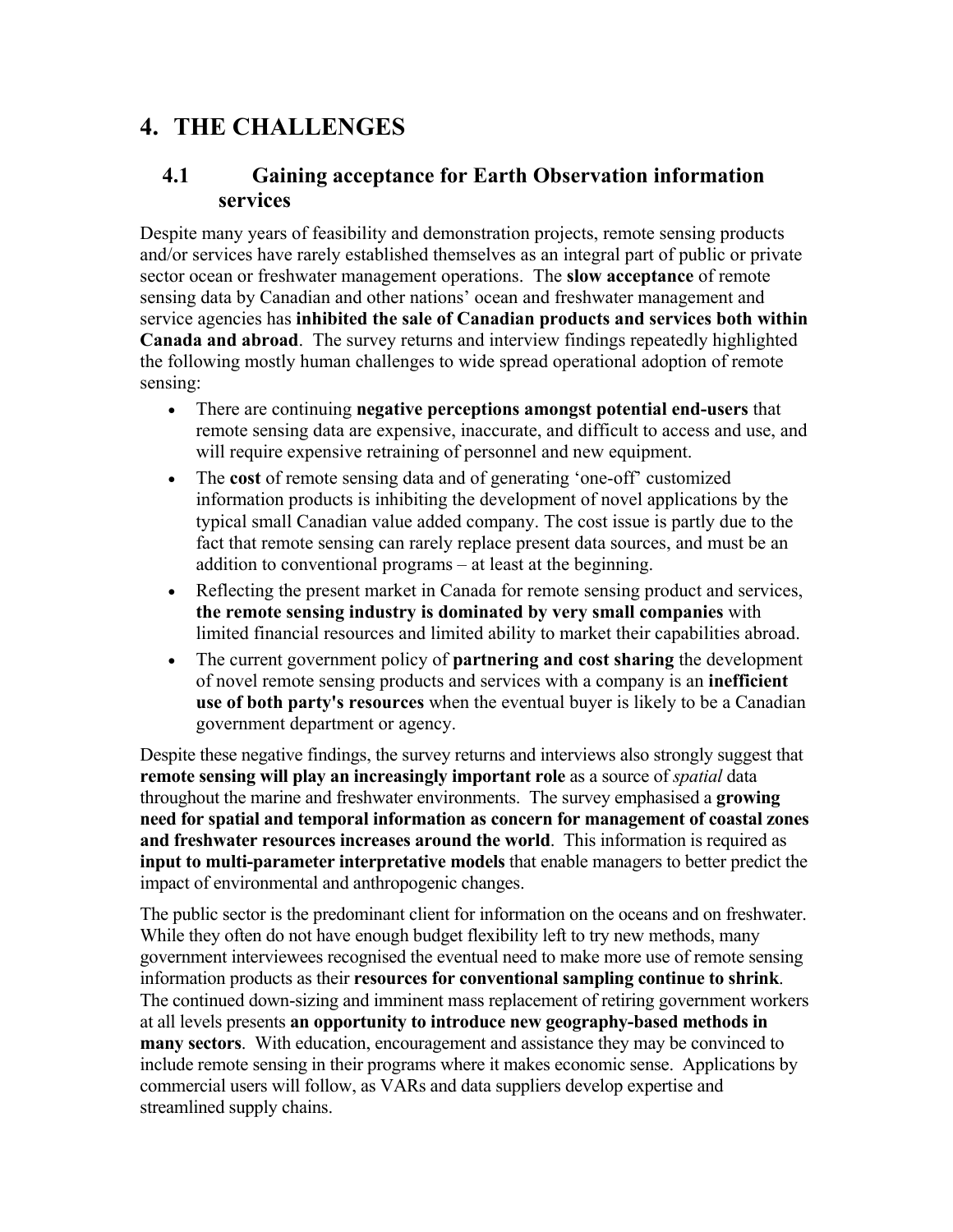## **4. THE CHALLENGES**

### **4.1 Gaining acceptance for Earth Observation information services**

Despite many years of feasibility and demonstration projects, remote sensing products and/or services have rarely established themselves as an integral part of public or private sector ocean or freshwater management operations. The **slow acceptance** of remote sensing data by Canadian and other nations' ocean and freshwater management and service agencies has **inhibited the sale of Canadian products and services both within Canada and abroad**. The survey returns and interview findings repeatedly highlighted the following mostly human challenges to wide spread operational adoption of remote sensing:

- There are continuing **negative perceptions amongst potential end-users** that remote sensing data are expensive, inaccurate, and difficult to access and use, and will require expensive retraining of personnel and new equipment.
- The **cost** of remote sensing data and of generating 'one-off' customized information products is inhibiting the development of novel applications by the typical small Canadian value added company. The cost issue is partly due to the fact that remote sensing can rarely replace present data sources, and must be an addition to conventional programs – at least at the beginning.
- Reflecting the present market in Canada for remote sensing product and services, **the remote sensing industry is dominated by very small companies** with limited financial resources and limited ability to market their capabilities abroad.
- The current government policy of **partnering and cost sharing** the development of novel remote sensing products and services with a company is an **inefficient use of both party's resources** when the eventual buyer is likely to be a Canadian government department or agency.

Despite these negative findings, the survey returns and interviews also strongly suggest that **remote sensing will play an increasingly important role** as a source of *spatial* data throughout the marine and freshwater environments. The survey emphasised a **growing need for spatial and temporal information as concern for management of coastal zones and freshwater resources increases around the world**. This information is required as **input to multi-parameter interpretative models** that enable managers to better predict the impact of environmental and anthropogenic changes.

The public sector is the predominant client for information on the oceans and on freshwater. While they often do not have enough budget flexibility left to try new methods, many government interviewees recognised the eventual need to make more use of remote sensing information products as their **resources for conventional sampling continue to shrink**. The continued down-sizing and imminent mass replacement of retiring government workers at all levels presents **an opportunity to introduce new geography-based methods in many sectors**. With education, encouragement and assistance they may be convinced to include remote sensing in their programs where it makes economic sense. Applications by commercial users will follow, as VARs and data suppliers develop expertise and streamlined supply chains.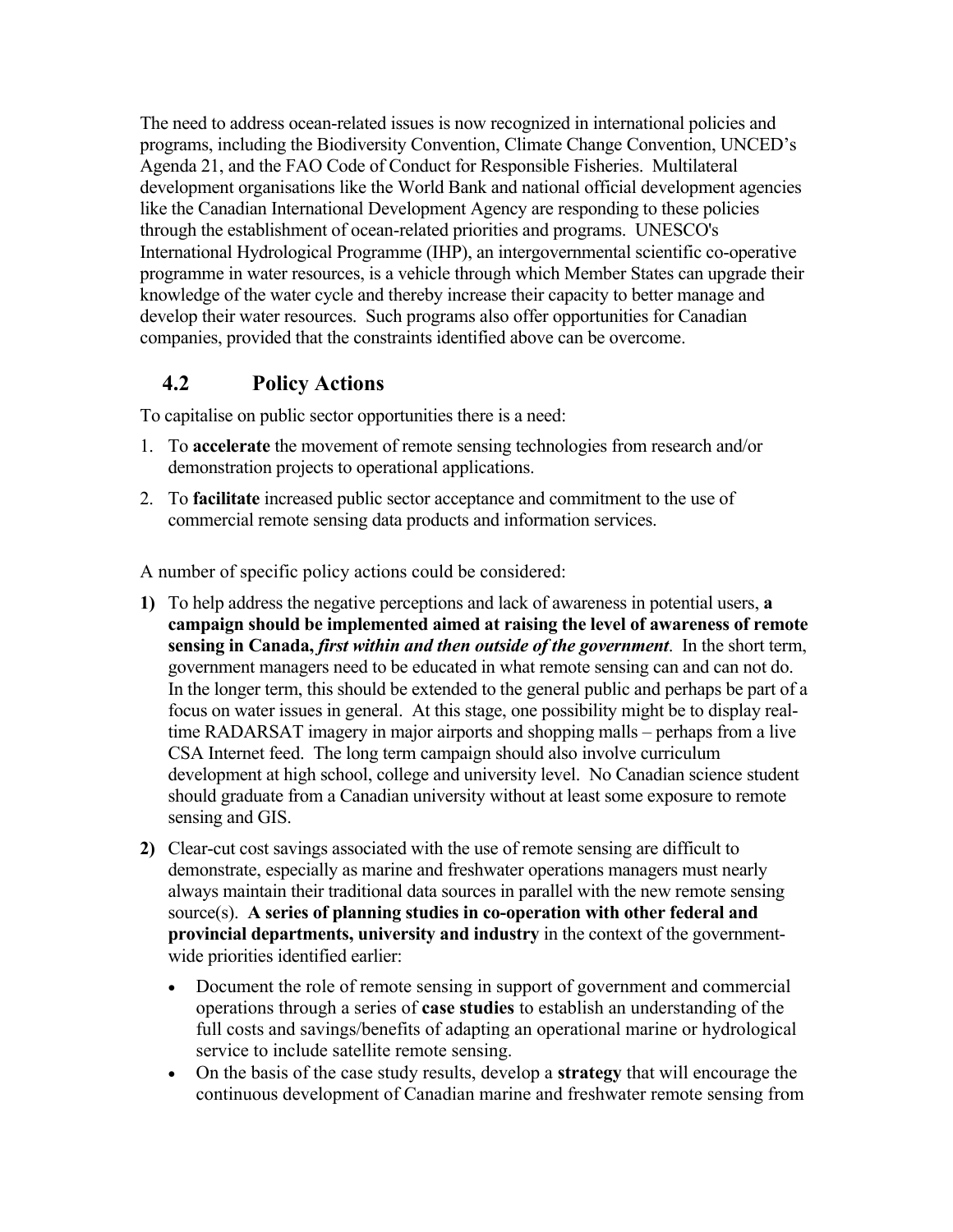The need to address ocean-related issues is now recognized in international policies and programs, including the Biodiversity Convention, Climate Change Convention, UNCED's Agenda 21, and the FAO Code of Conduct for Responsible Fisheries. Multilateral development organisations like the World Bank and national official development agencies like the Canadian International Development Agency are responding to these policies through the establishment of ocean-related priorities and programs. UNESCO's International Hydrological Programme (IHP), an intergovernmental scientific co-operative programme in water resources, is a vehicle through which Member States can upgrade their knowledge of the water cycle and thereby increase their capacity to better manage and develop their water resources. Such programs also offer opportunities for Canadian companies, provided that the constraints identified above can be overcome.

### **4.2 Policy Actions**

To capitalise on public sector opportunities there is a need:

- 1. To **accelerate** the movement of remote sensing technologies from research and/or demonstration projects to operational applications.
- 2. To **facilitate** increased public sector acceptance and commitment to the use of commercial remote sensing data products and information services.

A number of specific policy actions could be considered:

- **1)** To help address the negative perceptions and lack of awareness in potential users, **a campaign should be implemented aimed at raising the level of awareness of remote sensing in Canada,** *first within and then outside of the government*. In the short term, government managers need to be educated in what remote sensing can and can not do. In the longer term, this should be extended to the general public and perhaps be part of a focus on water issues in general. At this stage, one possibility might be to display realtime RADARSAT imagery in major airports and shopping malls – perhaps from a live CSA Internet feed. The long term campaign should also involve curriculum development at high school, college and university level. No Canadian science student should graduate from a Canadian university without at least some exposure to remote sensing and GIS.
- **2)** Clear-cut cost savings associated with the use of remote sensing are difficult to demonstrate, especially as marine and freshwater operations managers must nearly always maintain their traditional data sources in parallel with the new remote sensing source(s). **A series of planning studies in co-operation with other federal and provincial departments, university and industry** in the context of the governmentwide priorities identified earlier:
	- Document the role of remote sensing in support of government and commercial operations through a series of **case studies** to establish an understanding of the full costs and savings/benefits of adapting an operational marine or hydrological service to include satellite remote sensing.
	- On the basis of the case study results, develop a **strategy** that will encourage the continuous development of Canadian marine and freshwater remote sensing from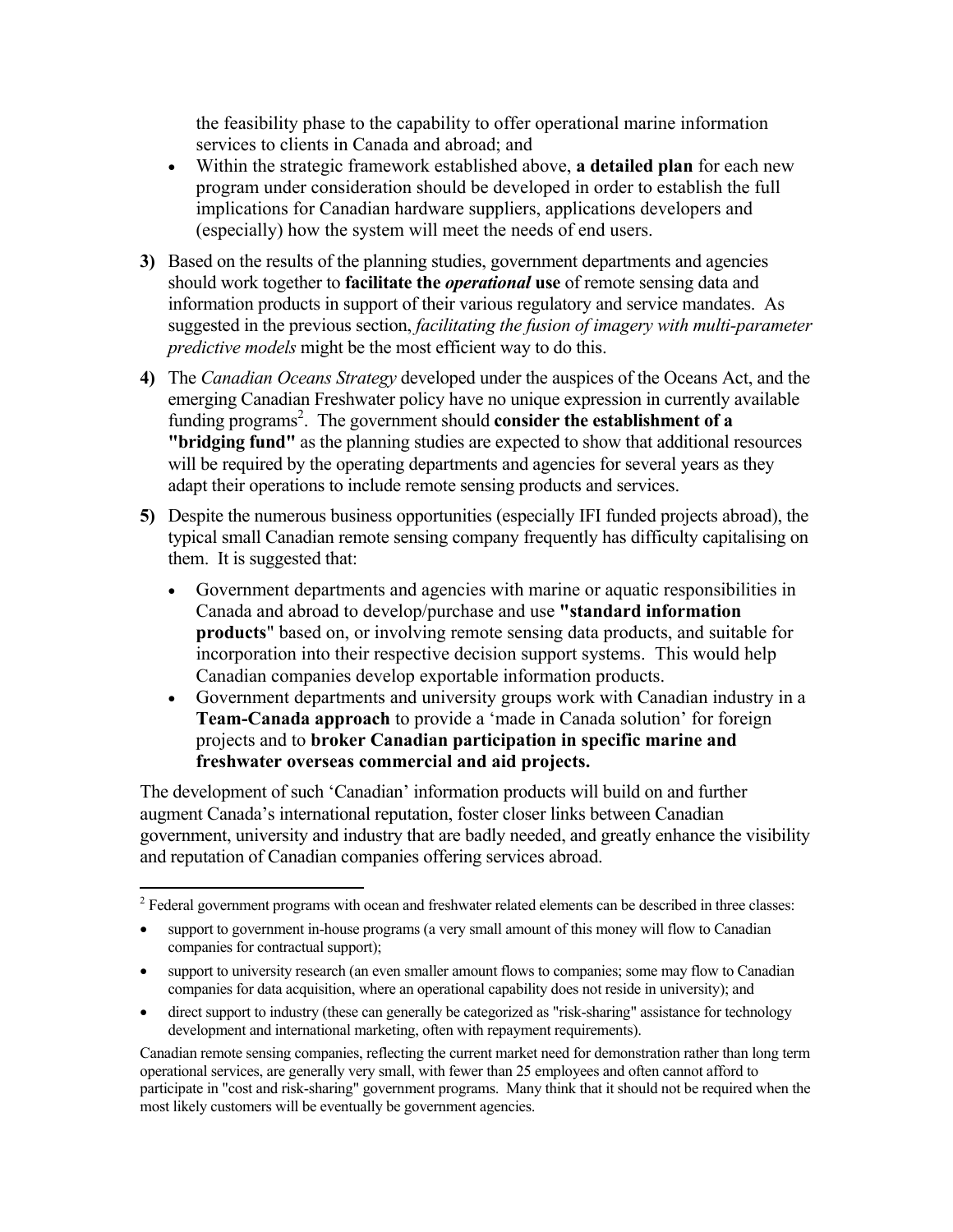the feasibility phase to the capability to offer operational marine information services to clients in Canada and abroad; and

- Within the strategic framework established above, **a detailed plan** for each new program under consideration should be developed in order to establish the full implications for Canadian hardware suppliers, applications developers and (especially) how the system will meet the needs of end users.
- **3)** Based on the results of the planning studies, government departments and agencies should work together to **facilitate the** *operational* **use** of remote sensing data and information products in support of their various regulatory and service mandates. As suggested in the previous section, *facilitating the fusion of imagery with multi-parameter predictive models* might be the most efficient way to do this.
- **4)** The *Canadian Oceans Strategy* developed under the auspices of the Oceans Act, and the emerging Canadian Freshwater policy have no unique expression in currently available funding programs<sup>2</sup>. The government should **consider the establishment of a "bridging fund"** as the planning studies are expected to show that additional resources will be required by the operating departments and agencies for several years as they adapt their operations to include remote sensing products and services.
- **5)** Despite the numerous business opportunities (especially IFI funded projects abroad), the typical small Canadian remote sensing company frequently has difficulty capitalising on them. It is suggested that:
	- Government departments and agencies with marine or aquatic responsibilities in Canada and abroad to develop/purchase and use **"standard information products**" based on, or involving remote sensing data products, and suitable for incorporation into their respective decision support systems. This would help Canadian companies develop exportable information products.
	- Government departments and university groups work with Canadian industry in a **Team-Canada approach** to provide a 'made in Canada solution' for foreign projects and to **broker Canadian participation in specific marine and freshwater overseas commercial and aid projects.**

The development of such 'Canadian' information products will build on and further augment Canada's international reputation, foster closer links between Canadian government, university and industry that are badly needed, and greatly enhance the visibility and reputation of Canadian companies offering services abroad.

 $\overline{a}$ 

Canadian remote sensing companies, reflecting the current market need for demonstration rather than long term operational services, are generally very small, with fewer than 25 employees and often cannot afford to participate in "cost and risk-sharing" government programs. Many think that it should not be required when the most likely customers will be eventually be government agencies.

 $2^2$  Federal government programs with ocean and freshwater related elements can be described in three classes:

support to government in-house programs (a very small amount of this money will flow to Canadian companies for contractual support);

<sup>•</sup> support to university research (an even smaller amount flows to companies; some may flow to Canadian companies for data acquisition, where an operational capability does not reside in university); and

<sup>•</sup> direct support to industry (these can generally be categorized as "risk-sharing" assistance for technology development and international marketing, often with repayment requirements).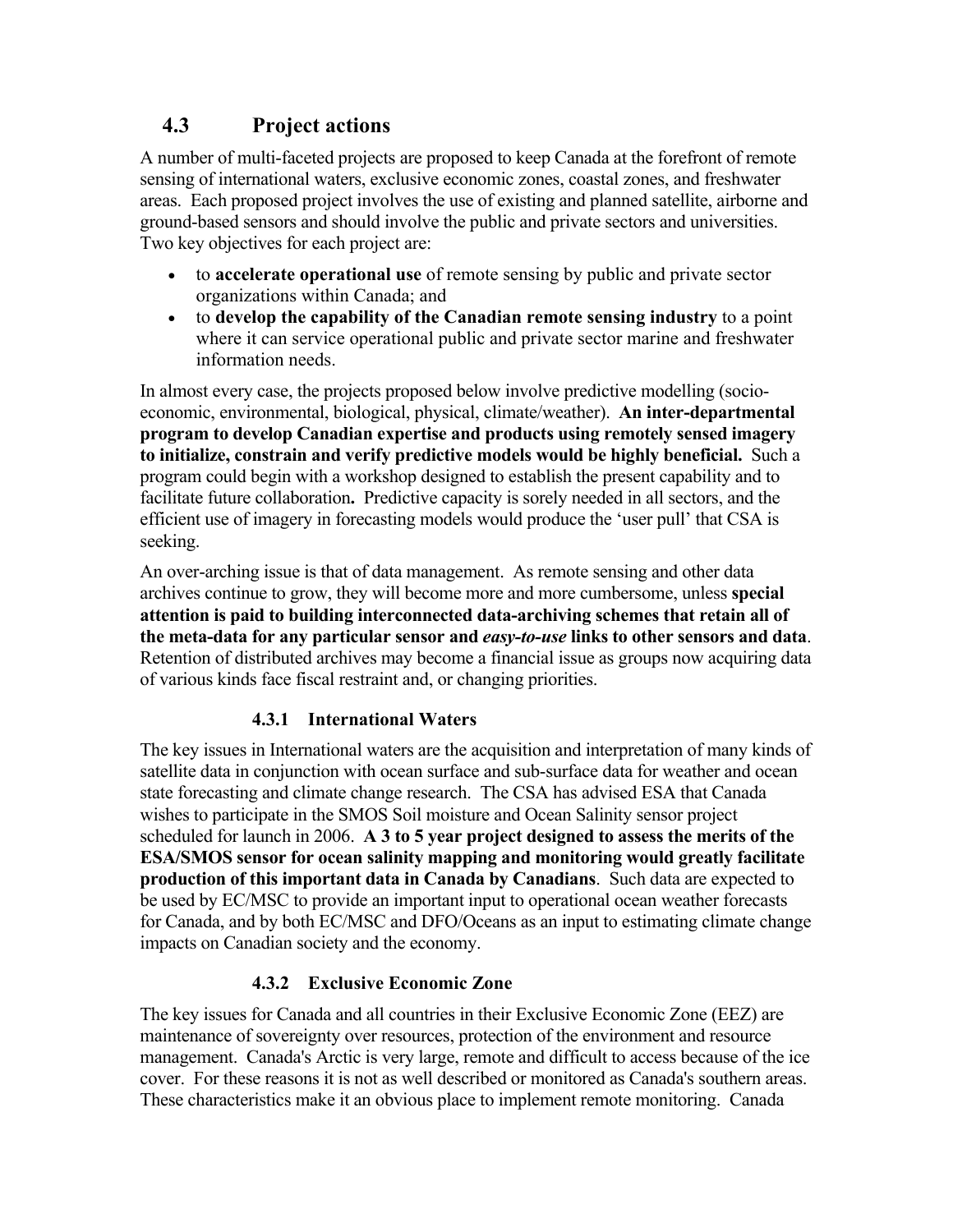### **4.3 Project actions**

A number of multi-faceted projects are proposed to keep Canada at the forefront of remote sensing of international waters, exclusive economic zones, coastal zones, and freshwater areas. Each proposed project involves the use of existing and planned satellite, airborne and ground-based sensors and should involve the public and private sectors and universities. Two key objectives for each project are:

- to **accelerate operational use** of remote sensing by public and private sector organizations within Canada; and
- to **develop the capability of the Canadian remote sensing industry** to a point where it can service operational public and private sector marine and freshwater information needs.

In almost every case, the projects proposed below involve predictive modelling (socioeconomic, environmental, biological, physical, climate/weather). **An inter-departmental program to develop Canadian expertise and products using remotely sensed imagery to initialize, constrain and verify predictive models would be highly beneficial.** Such a program could begin with a workshop designed to establish the present capability and to facilitate future collaboration**.** Predictive capacity is sorely needed in all sectors, and the efficient use of imagery in forecasting models would produce the 'user pull' that CSA is seeking.

An over-arching issue is that of data management. As remote sensing and other data archives continue to grow, they will become more and more cumbersome, unless **special attention is paid to building interconnected data-archiving schemes that retain all of the meta-data for any particular sensor and** *easy-to-use* **links to other sensors and data**. Retention of distributed archives may become a financial issue as groups now acquiring data of various kinds face fiscal restraint and, or changing priorities.

### **4.3.1 International Waters**

The key issues in International waters are the acquisition and interpretation of many kinds of satellite data in conjunction with ocean surface and sub-surface data for weather and ocean state forecasting and climate change research. The CSA has advised ESA that Canada wishes to participate in the SMOS Soil moisture and Ocean Salinity sensor project scheduled for launch in 2006. **A 3 to 5 year project designed to assess the merits of the ESA/SMOS sensor for ocean salinity mapping and monitoring would greatly facilitate production of this important data in Canada by Canadians**. Such data are expected to be used by EC/MSC to provide an important input to operational ocean weather forecasts for Canada, and by both EC/MSC and DFO/Oceans as an input to estimating climate change impacts on Canadian society and the economy.

### **4.3.2 Exclusive Economic Zone**

The key issues for Canada and all countries in their Exclusive Economic Zone (EEZ) are maintenance of sovereignty over resources, protection of the environment and resource management. Canada's Arctic is very large, remote and difficult to access because of the ice cover. For these reasons it is not as well described or monitored as Canada's southern areas. These characteristics make it an obvious place to implement remote monitoring. Canada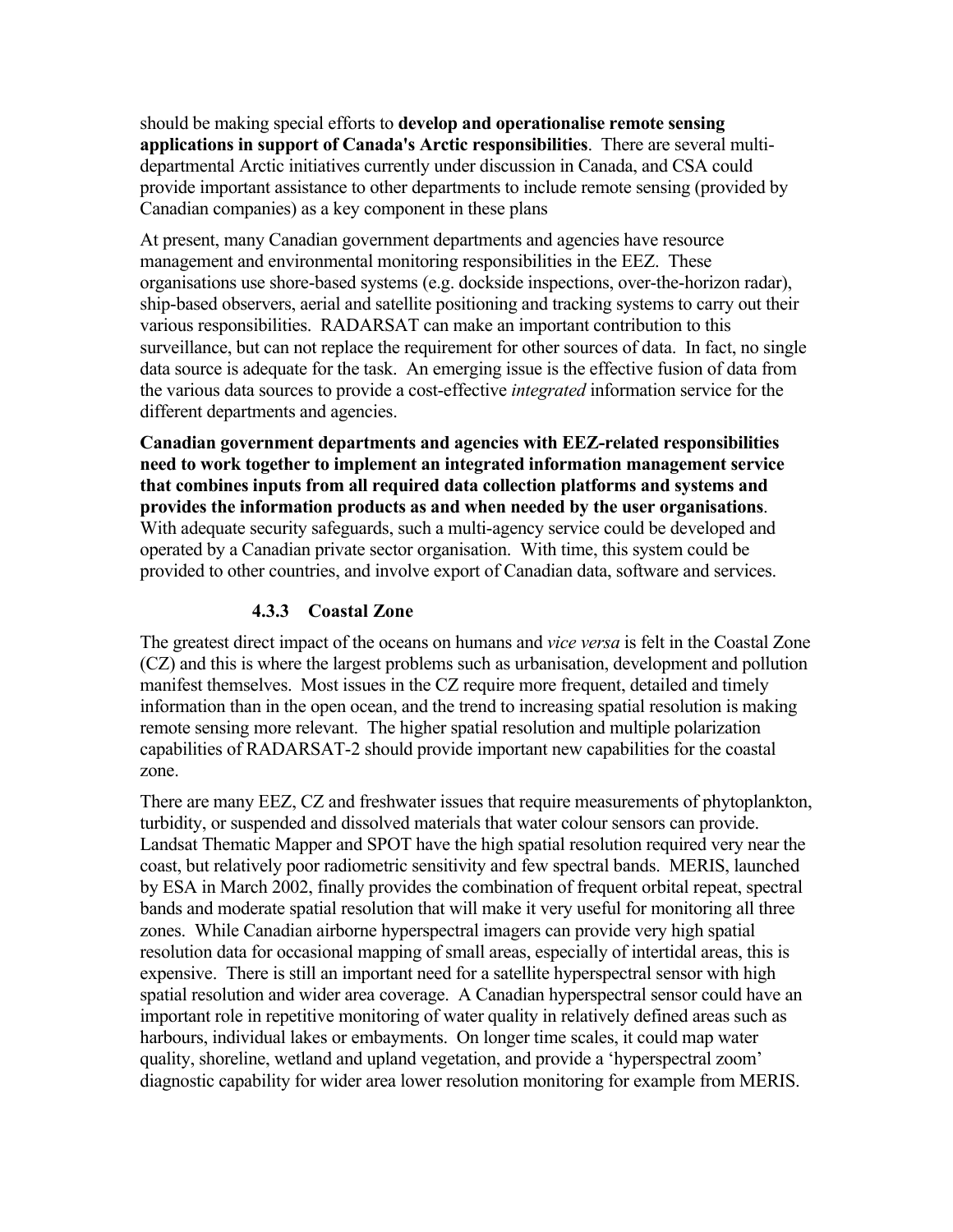should be making special efforts to **develop and operationalise remote sensing applications in support of Canada's Arctic responsibilities**. There are several multidepartmental Arctic initiatives currently under discussion in Canada, and CSA could provide important assistance to other departments to include remote sensing (provided by Canadian companies) as a key component in these plans

At present, many Canadian government departments and agencies have resource management and environmental monitoring responsibilities in the EEZ. These organisations use shore-based systems (e.g. dockside inspections, over-the-horizon radar), ship-based observers, aerial and satellite positioning and tracking systems to carry out their various responsibilities. RADARSAT can make an important contribution to this surveillance, but can not replace the requirement for other sources of data. In fact, no single data source is adequate for the task. An emerging issue is the effective fusion of data from the various data sources to provide a cost-effective *integrated* information service for the different departments and agencies.

**Canadian government departments and agencies with EEZ-related responsibilities need to work together to implement an integrated information management service that combines inputs from all required data collection platforms and systems and provides the information products as and when needed by the user organisations**. With adequate security safeguards, such a multi-agency service could be developed and operated by a Canadian private sector organisation. With time, this system could be provided to other countries, and involve export of Canadian data, software and services.

#### **4.3.3 Coastal Zone**

The greatest direct impact of the oceans on humans and *vice versa* is felt in the Coastal Zone (CZ) and this is where the largest problems such as urbanisation, development and pollution manifest themselves. Most issues in the CZ require more frequent, detailed and timely information than in the open ocean, and the trend to increasing spatial resolution is making remote sensing more relevant. The higher spatial resolution and multiple polarization capabilities of RADARSAT-2 should provide important new capabilities for the coastal zone.

There are many EEZ, CZ and freshwater issues that require measurements of phytoplankton, turbidity, or suspended and dissolved materials that water colour sensors can provide. Landsat Thematic Mapper and SPOT have the high spatial resolution required very near the coast, but relatively poor radiometric sensitivity and few spectral bands. MERIS, launched by ESA in March 2002, finally provides the combination of frequent orbital repeat, spectral bands and moderate spatial resolution that will make it very useful for monitoring all three zones. While Canadian airborne hyperspectral imagers can provide very high spatial resolution data for occasional mapping of small areas, especially of intertidal areas, this is expensive. There is still an important need for a satellite hyperspectral sensor with high spatial resolution and wider area coverage. A Canadian hyperspectral sensor could have an important role in repetitive monitoring of water quality in relatively defined areas such as harbours, individual lakes or embayments. On longer time scales, it could map water quality, shoreline, wetland and upland vegetation, and provide a 'hyperspectral zoom' diagnostic capability for wider area lower resolution monitoring for example from MERIS.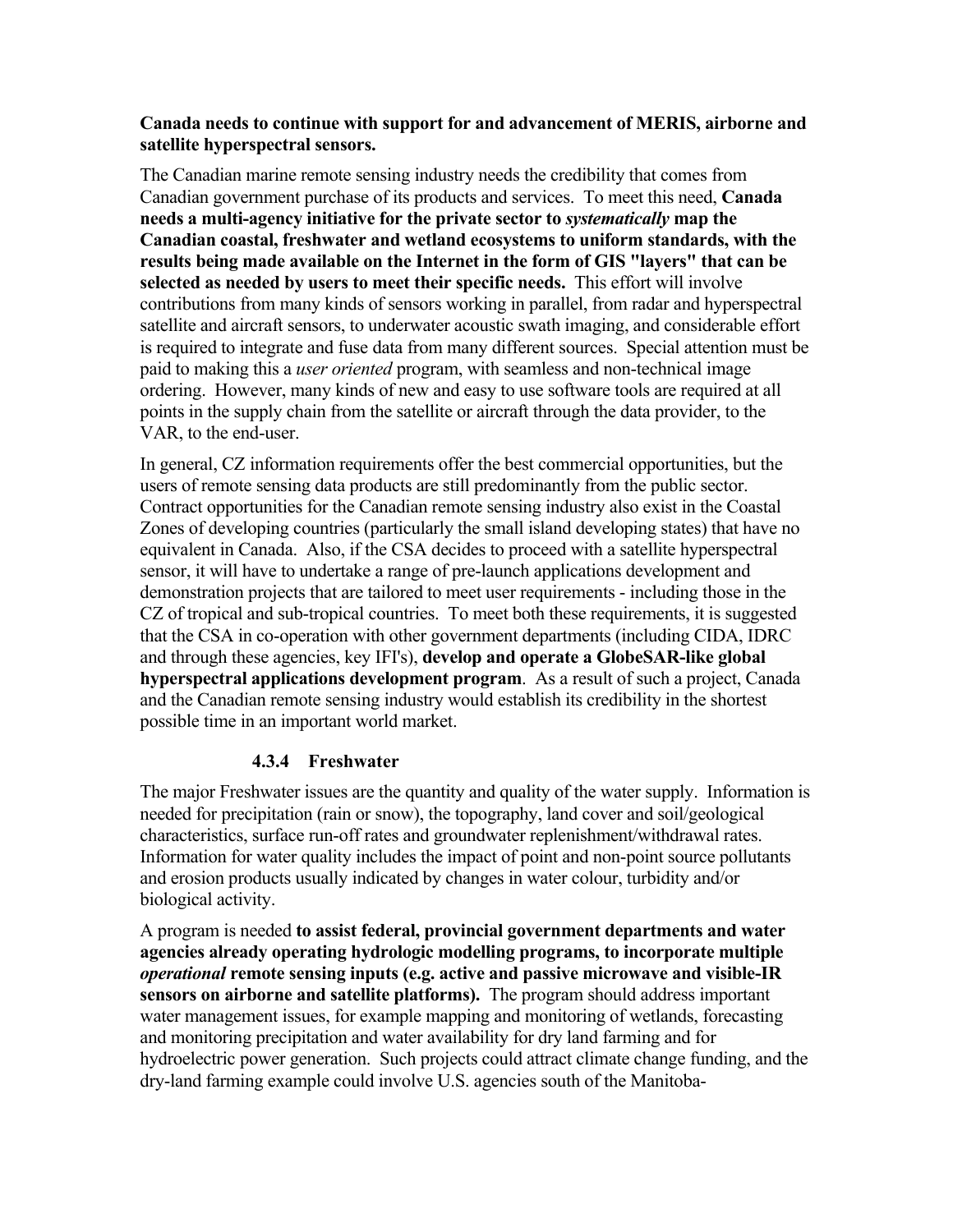#### **Canada needs to continue with support for and advancement of MERIS, airborne and satellite hyperspectral sensors.**

The Canadian marine remote sensing industry needs the credibility that comes from Canadian government purchase of its products and services. To meet this need, **Canada needs a multi-agency initiative for the private sector to** *systematically* **map the Canadian coastal, freshwater and wetland ecosystems to uniform standards, with the results being made available on the Internet in the form of GIS "layers" that can be selected as needed by users to meet their specific needs.** This effort will involve contributions from many kinds of sensors working in parallel, from radar and hyperspectral satellite and aircraft sensors, to underwater acoustic swath imaging, and considerable effort is required to integrate and fuse data from many different sources. Special attention must be paid to making this a *user oriented* program, with seamless and non-technical image ordering. However, many kinds of new and easy to use software tools are required at all points in the supply chain from the satellite or aircraft through the data provider, to the VAR, to the end-user.

In general, CZ information requirements offer the best commercial opportunities, but the users of remote sensing data products are still predominantly from the public sector. Contract opportunities for the Canadian remote sensing industry also exist in the Coastal Zones of developing countries (particularly the small island developing states) that have no equivalent in Canada. Also, if the CSA decides to proceed with a satellite hyperspectral sensor, it will have to undertake a range of pre-launch applications development and demonstration projects that are tailored to meet user requirements - including those in the CZ of tropical and sub-tropical countries. To meet both these requirements, it is suggested that the CSA in co-operation with other government departments (including CIDA, IDRC and through these agencies, key IFI's), **develop and operate a GlobeSAR-like global hyperspectral applications development program**. As a result of such a project, Canada and the Canadian remote sensing industry would establish its credibility in the shortest possible time in an important world market.

### **4.3.4 Freshwater**

The major Freshwater issues are the quantity and quality of the water supply. Information is needed for precipitation (rain or snow), the topography, land cover and soil/geological characteristics, surface run-off rates and groundwater replenishment/withdrawal rates. Information for water quality includes the impact of point and non-point source pollutants and erosion products usually indicated by changes in water colour, turbidity and/or biological activity.

A program is needed **to assist federal, provincial government departments and water agencies already operating hydrologic modelling programs, to incorporate multiple**  *operational* **remote sensing inputs (e.g. active and passive microwave and visible-IR sensors on airborne and satellite platforms).** The program should address important water management issues, for example mapping and monitoring of wetlands, forecasting and monitoring precipitation and water availability for dry land farming and for hydroelectric power generation. Such projects could attract climate change funding, and the dry-land farming example could involve U.S. agencies south of the Manitoba-